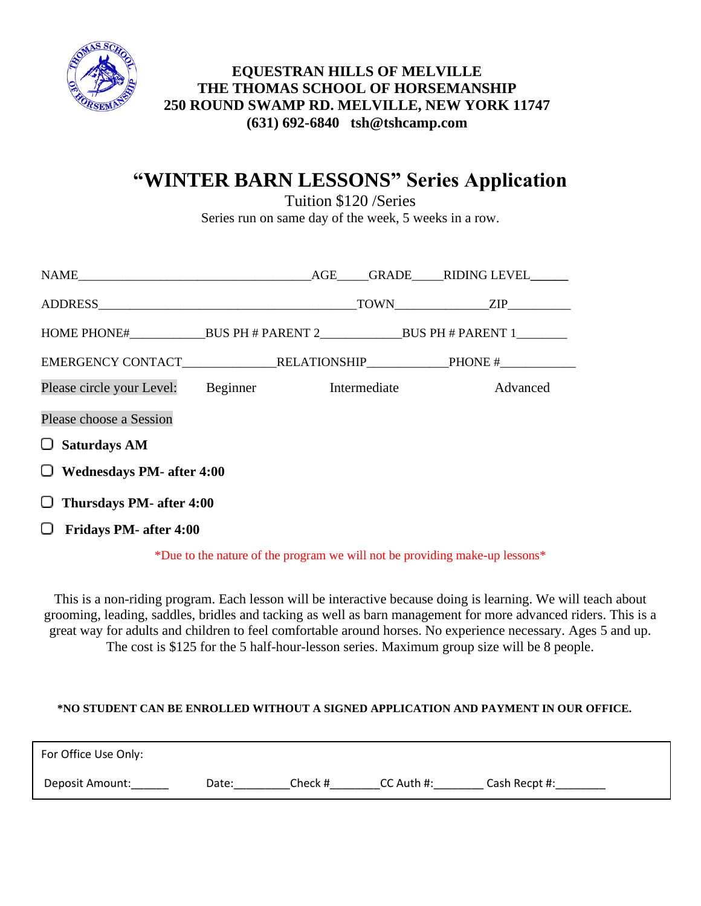

## **(631) 692-6840 tsh@tshcamp.com EQUESTRAN HILLS OF MELVILLE THE THOMAS SCHOOL OF HORSEMANSHIP 250 ROUND SWAMP RD. MELVILLE, NEW YORK 11747**

# **"WINTER BARN LESSONS" Series Application**

Tuition \$120 /Series Series run on same day of the week, 5 weeks in a row.

| Please circle your Level: Beginner Intermediate |  |  |  | Advanced |  |  |  |
|-------------------------------------------------|--|--|--|----------|--|--|--|
| Please choose a Session                         |  |  |  |          |  |  |  |
| $\Box$ Saturdays AM                             |  |  |  |          |  |  |  |
| $\Box$ Wednesdays PM- after 4:00                |  |  |  |          |  |  |  |
| $\Box$ Thursdays PM- after 4:00                 |  |  |  |          |  |  |  |
| <b>Fridays PM- after 4:00</b><br>U.             |  |  |  |          |  |  |  |

\*Due to the nature of the program we will not be providing make-up lessons\*

This is a non-riding program. Each lesson will be interactive because doing is learning. We will teach about grooming, leading, saddles, bridles and tacking as well as barn management for more advanced riders. This is a great way for adults and children to feel comfortable around horses. No experience necessary. Ages 5 and up. The cost is \$125 for the 5 half-hour-lesson series. Maximum group size will be 8 people.

## **\*NO STUDENT CAN BE ENROLLED WITHOUT A SIGNED APPLICATION AND PAYMENT IN OUR OFFICE.**

| For Office Use Only: |       |         |              |               |
|----------------------|-------|---------|--------------|---------------|
| Deposit Amount:      | Date: | Check # | $CC$ Auth #: | Cash Recpt #: |